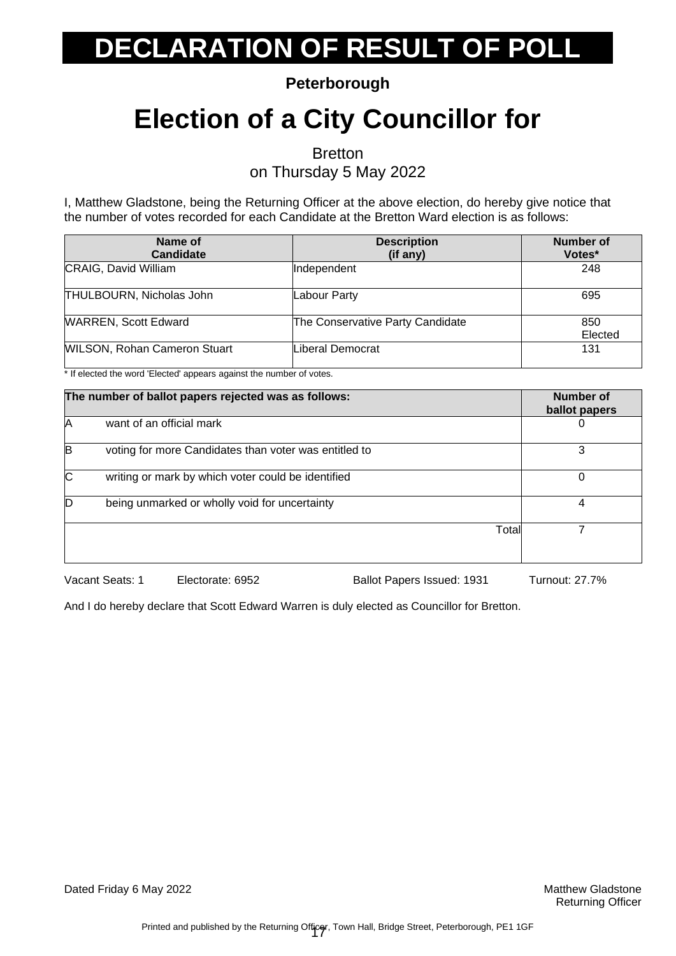**Peterborough**

### **Election of a City Councillor for**

**Bretton** 

on Thursday 5 May 2022

I, Matthew Gladstone, being the Returning Officer at the above election, do hereby give notice that the number of votes recorded for each Candidate at the Bretton Ward election is as follows:

| Name of<br>Candidate                | <b>Description</b><br>(if any)   | <b>Number of</b><br>Votes* |
|-------------------------------------|----------------------------------|----------------------------|
| CRAIG, David William                | Independent                      | 248                        |
| THULBOURN, Nicholas John            | Labour Party                     | 695                        |
| <b>WARREN, Scott Edward</b>         | The Conservative Party Candidate | 850<br>Elected             |
| <b>WILSON, Rohan Cameron Stuart</b> | Liberal Democrat                 | 131                        |

\* If elected the word 'Elected' appears against the number of votes.

| The number of ballot papers rejected was as follows: |                                                       | Number of<br>ballot papers |
|------------------------------------------------------|-------------------------------------------------------|----------------------------|
| IA                                                   | want of an official mark                              |                            |
| B                                                    | voting for more Candidates than voter was entitled to | 3                          |
| C                                                    | writing or mark by which voter could be identified    |                            |
| D                                                    | being unmarked or wholly void for uncertainty         | 4                          |
|                                                      | Total                                                 |                            |

Vacant Seats: 1 Electorate: 6952 Ballot Papers Issued: 1931 Turnout: 27.7%

And I do hereby declare that Scott Edward Warren is duly elected as Councillor for Bretton.

Dated Friday 6 May 2022 **Matthew Gladstone** Matthew Gladstone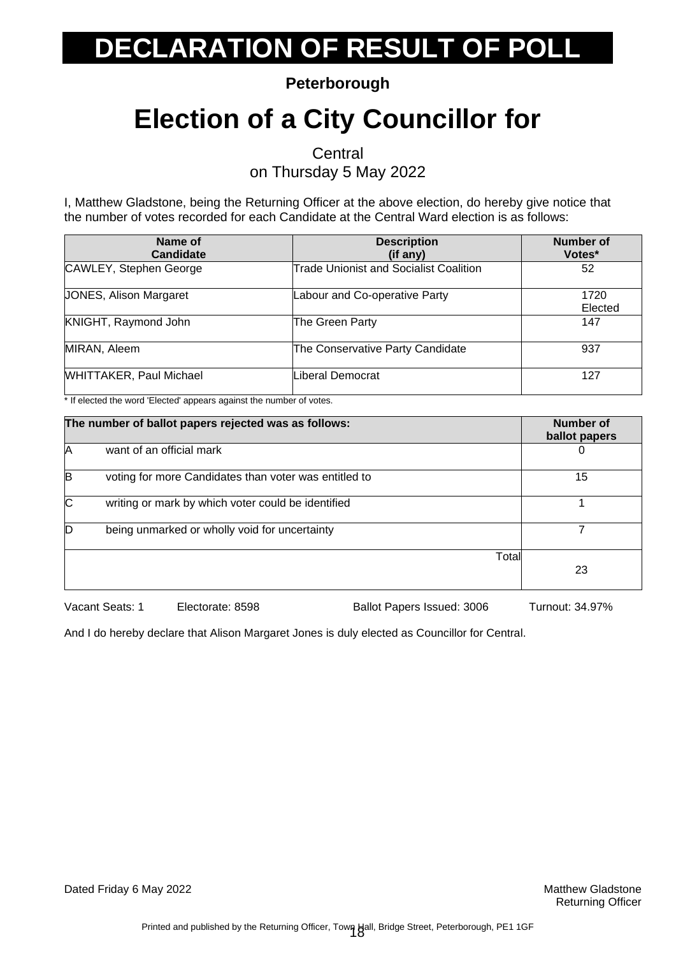**Peterborough**

### **Election of a City Councillor for**

**Central** 

on Thursday 5 May 2022

I, Matthew Gladstone, being the Returning Officer at the above election, do hereby give notice that the number of votes recorded for each Candidate at the Central Ward election is as follows:

| Name of<br><b>Candidate</b>    | <b>Description</b><br>$(if$ any)              | Number of<br>Votes* |
|--------------------------------|-----------------------------------------------|---------------------|
| CAWLEY, Stephen George         | <b>Trade Unionist and Socialist Coalition</b> | 52                  |
| <b>JONES, Alison Margaret</b>  | Labour and Co-operative Party                 | 1720<br>Elected     |
| KNIGHT, Raymond John           | The Green Party                               | 147                 |
| MIRAN, Aleem                   | The Conservative Party Candidate              | 937                 |
| <b>WHITTAKER, Paul Michael</b> | Liberal Democrat                              | 127                 |

\* If elected the word 'Elected' appears against the number of votes.

| The number of ballot papers rejected was as follows: |                                                       | Number of<br>ballot papers |    |
|------------------------------------------------------|-------------------------------------------------------|----------------------------|----|
| IA                                                   | want of an official mark                              |                            |    |
| B                                                    | voting for more Candidates than voter was entitled to |                            | 15 |
| <b>C</b>                                             | writing or mark by which voter could be identified    |                            |    |
|                                                      | being unmarked or wholly void for uncertainty         |                            |    |
|                                                      |                                                       | Total                      | 23 |

Vacant Seats: 1 Electorate: 8598 Ballot Papers Issued: 3006 Turnout: 34.97%

And I do hereby declare that Alison Margaret Jones is duly elected as Councillor for Central.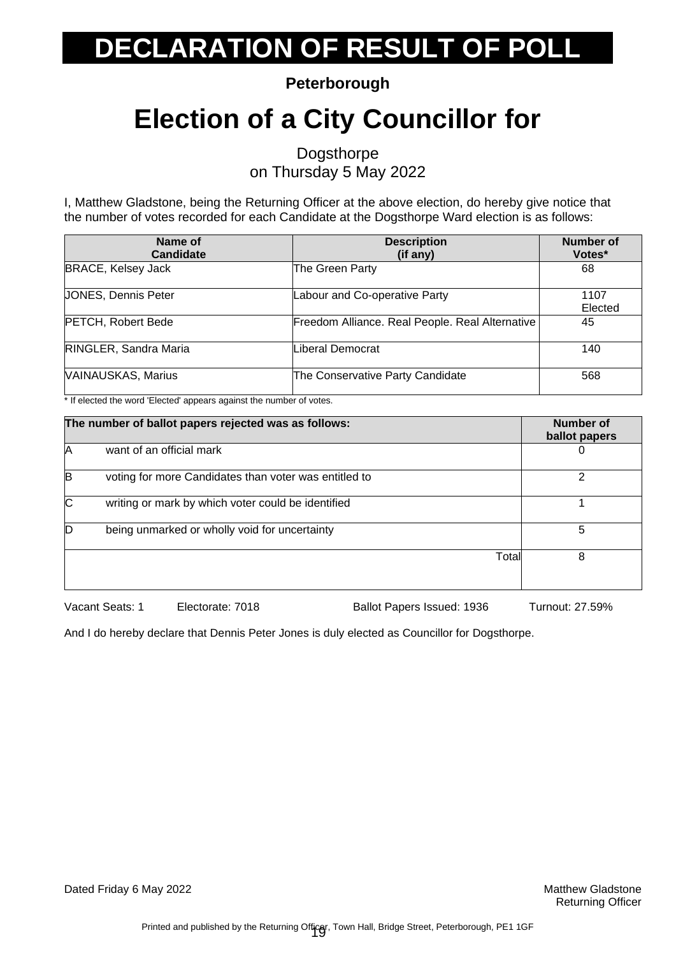**Peterborough**

### **Election of a City Councillor for**

Dogsthorpe on Thursday 5 May 2022

I, Matthew Gladstone, being the Returning Officer at the above election, do hereby give notice that the number of votes recorded for each Candidate at the Dogsthorpe Ward election is as follows:

| Name of<br><b>Candidate</b> | <b>Description</b><br>(if any)                  | Number of<br>Votes* |
|-----------------------------|-------------------------------------------------|---------------------|
| <b>BRACE, Kelsey Jack</b>   | The Green Party                                 | 68                  |
| <b>JONES, Dennis Peter</b>  | Labour and Co-operative Party                   | 1107<br>Elected     |
| <b>PETCH, Robert Bede</b>   | Freedom Alliance. Real People. Real Alternative | 45                  |
| RINGLER, Sandra Maria       | <b>Liberal Democrat</b>                         | 140                 |
| <b>VAINAUSKAS, Marius</b>   | The Conservative Party Candidate                | 568                 |

\* If elected the word 'Elected' appears against the number of votes.

| The number of ballot papers rejected was as follows: |                                                       | <b>Number of</b><br>ballot papers |
|------------------------------------------------------|-------------------------------------------------------|-----------------------------------|
| IA                                                   | want of an official mark                              |                                   |
| B                                                    | voting for more Candidates than voter was entitled to | っ                                 |
| ІС                                                   | writing or mark by which voter could be identified    |                                   |
|                                                      | being unmarked or wholly void for uncertainty         | 5                                 |
|                                                      |                                                       | Total<br>8                        |

Vacant Seats: 1 Electorate: 7018 Ballot Papers Issued: 1936 Turnout: 27.59%

And I do hereby declare that Dennis Peter Jones is duly elected as Councillor for Dogsthorpe.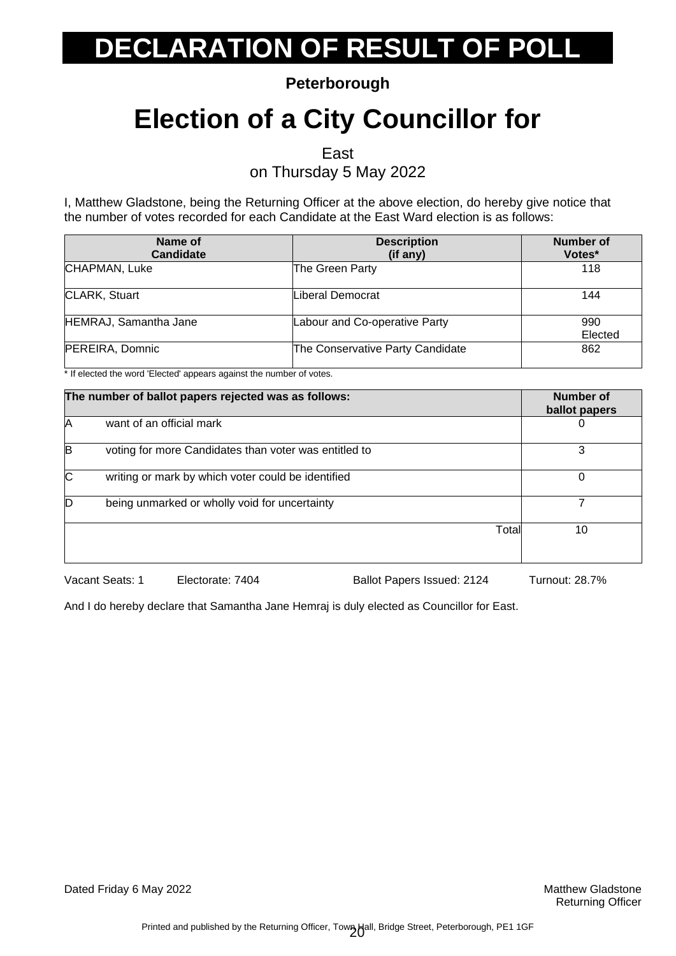**Peterborough**

### **Election of a City Councillor for**

East

on Thursday 5 May 2022

I, Matthew Gladstone, being the Returning Officer at the above election, do hereby give notice that the number of votes recorded for each Candidate at the East Ward election is as follows:

| Name of<br><b>Candidate</b> | <b>Description</b><br>(if any)   | <b>Number of</b><br>Votes* |
|-----------------------------|----------------------------------|----------------------------|
| CHAPMAN, Luke               | The Green Party                  | 118                        |
| CLARK, Stuart               | Liberal Democrat                 | 144                        |
| HEMRAJ, Samantha Jane       | Labour and Co-operative Party    | 990<br>Elected             |
| PEREIRA, Domnic             | The Conservative Party Candidate | 862                        |

\* If elected the word 'Elected' appears against the number of votes.

| The number of ballot papers rejected was as follows: |                                                       | Number of<br>ballot papers |
|------------------------------------------------------|-------------------------------------------------------|----------------------------|
| A                                                    | want of an official mark                              |                            |
| B                                                    | voting for more Candidates than voter was entitled to | 3                          |
| C                                                    | writing or mark by which voter could be identified    | 0                          |
| D                                                    | being unmarked or wholly void for uncertainty         |                            |
|                                                      | Total                                                 | 10                         |

Vacant Seats: 1 Electorate: 7404 Ballot Papers Issued: 2124 Turnout: 28.7%

And I do hereby declare that Samantha Jane Hemraj is duly elected as Councillor for East.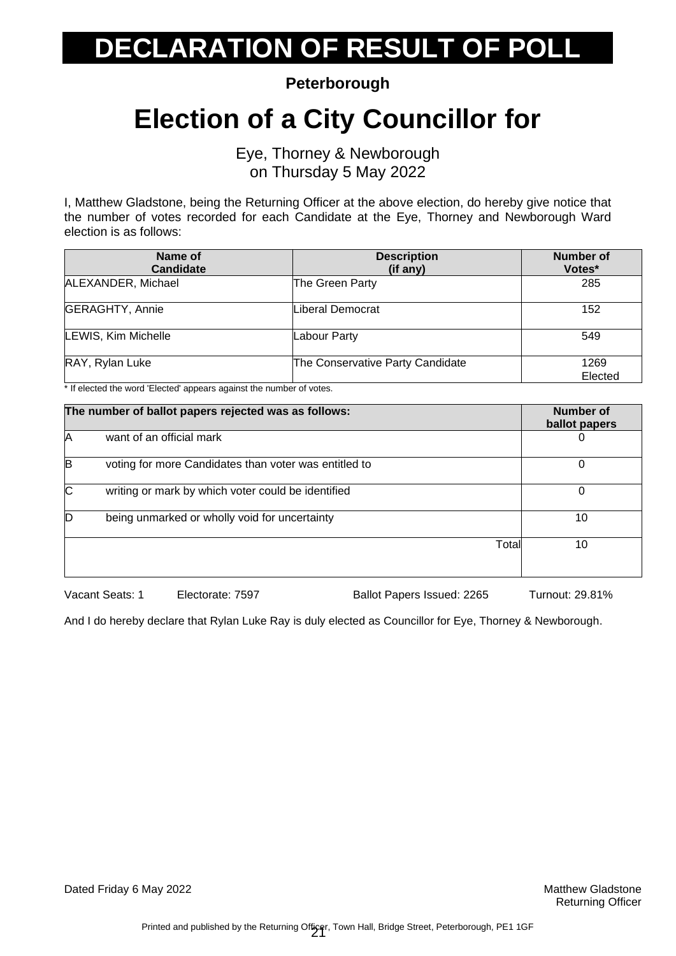**Peterborough**

#### **Election of a City Councillor for**

Eye, Thorney & Newborough on Thursday 5 May 2022

I, Matthew Gladstone, being the Returning Officer at the above election, do hereby give notice that the number of votes recorded for each Candidate at the Eye, Thorney and Newborough Ward election is as follows:

| Name of<br><b>Candidate</b> | <b>Description</b><br>(if any)   | <b>Number of</b><br>Votes* |
|-----------------------------|----------------------------------|----------------------------|
| ALEXANDER, Michael          | The Green Party                  | 285                        |
| <b>GERAGHTY, Annie</b>      | Liberal Democrat                 | 152                        |
| LEWIS, Kim Michelle         | Labour Party                     | 549                        |
| RAY, Rylan Luke             | The Conservative Party Candidate | 1269<br>Elected            |

\* If elected the word 'Elected' appears against the number of votes.

| The number of ballot papers rejected was as follows: |                                                       | Number of<br>ballot papers |
|------------------------------------------------------|-------------------------------------------------------|----------------------------|
| A                                                    | want of an official mark                              | 0                          |
| B                                                    | voting for more Candidates than voter was entitled to | 0                          |
| $\overline{C}$                                       | writing or mark by which voter could be identified    | $\Omega$                   |
|                                                      | being unmarked or wholly void for uncertainty         | 10                         |
|                                                      | Total                                                 | 10                         |

Vacant Seats: 1 Electorate: 7597 Ballot Papers Issued: 2265 Turnout: 29.81%

And I do hereby declare that Rylan Luke Ray is duly elected as Councillor for Eye, Thorney & Newborough.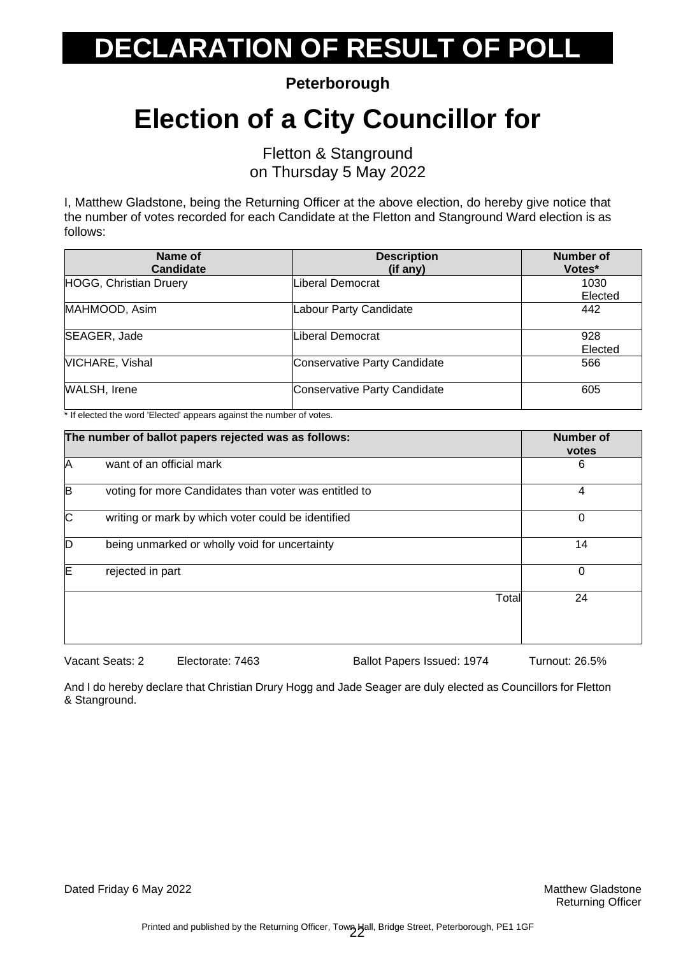**Peterborough**

### **Election of a City Councillor for**

Fletton & Stanground on Thursday 5 May 2022

I, Matthew Gladstone, being the Returning Officer at the above election, do hereby give notice that the number of votes recorded for each Candidate at the Fletton and Stanground Ward election is as follows:

| Name of<br><b>Candidate</b> | <b>Description</b><br>(if any) | Number of<br>Votes* |
|-----------------------------|--------------------------------|---------------------|
| HOGG, Christian Druery      | Liberal Democrat               | 1030<br>Elected     |
| MAHMOOD, Asim               | Labour Party Candidate         | 442                 |
| SEAGER, Jade                | Liberal Democrat               | 928<br>Elected      |
| <b>VICHARE, Vishal</b>      | Conservative Party Candidate   | 566                 |
| <b>WALSH, Irene</b>         | Conservative Party Candidate   | 605                 |

\* If elected the word 'Elected' appears against the number of votes.

| The number of ballot papers rejected was as follows: |                                                       | <b>Number of</b><br>votes |
|------------------------------------------------------|-------------------------------------------------------|---------------------------|
| Ά                                                    | want of an official mark                              | 6                         |
| B                                                    | voting for more Candidates than voter was entitled to | 4                         |
| $\overline{\text{c}}$                                | writing or mark by which voter could be identified    | 0                         |
| D                                                    | being unmarked or wholly void for uncertainty         | 14                        |
| E                                                    | rejected in part                                      | $\Omega$                  |
|                                                      | Total                                                 | 24                        |

Vacant Seats: 2 Electorate: 7463 Ballot Papers Issued: 1974 Turnout: 26.5%

And I do hereby declare that Christian Drury Hogg and Jade Seager are duly elected as Councillors for Fletton & Stanground.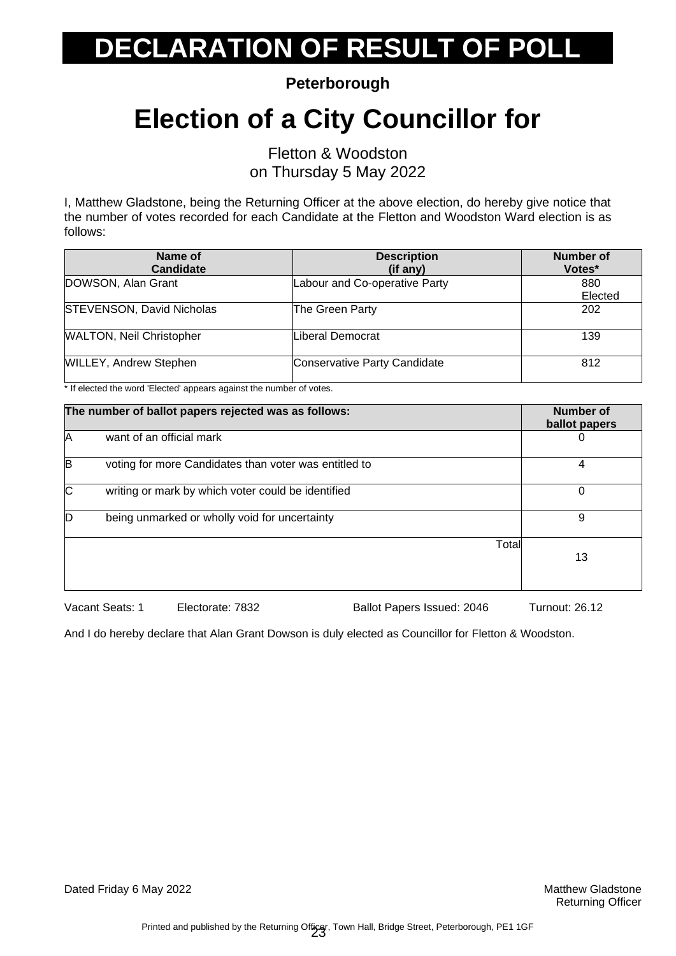**Peterborough**

### **Election of a City Councillor for**

Fletton & Woodston on Thursday 5 May 2022

I, Matthew Gladstone, being the Returning Officer at the above election, do hereby give notice that the number of votes recorded for each Candidate at the Fletton and Woodston Ward election is as follows:

| Name of<br>Candidate             | <b>Description</b><br>(if any) | Number of<br>Votes* |
|----------------------------------|--------------------------------|---------------------|
| DOWSON, Alan Grant               | Labour and Co-operative Party  | 880<br>Elected      |
| <b>STEVENSON, David Nicholas</b> | The Green Party                | 202                 |
| <b>WALTON, Neil Christopher</b>  | Liberal Democrat               | 139                 |
| <b>WILLEY, Andrew Stephen</b>    | Conservative Party Candidate   | 812                 |

\* If elected the word 'Elected' appears against the number of votes.

|   | The number of ballot papers rejected was as follows:  |       | Number of<br>ballot papers |
|---|-------------------------------------------------------|-------|----------------------------|
| Α | want of an official mark                              |       | $\mathbf{O}$               |
| B | voting for more Candidates than voter was entitled to |       | 4                          |
| C | writing or mark by which voter could be identified    |       | 0                          |
| D | being unmarked or wholly void for uncertainty         |       | 9                          |
|   |                                                       | Total | 13                         |

Vacant Seats: 1 Electorate: 7832 Ballot Papers Issued: 2046 Turnout: 26.12

And I do hereby declare that Alan Grant Dowson is duly elected as Councillor for Fletton & Woodston.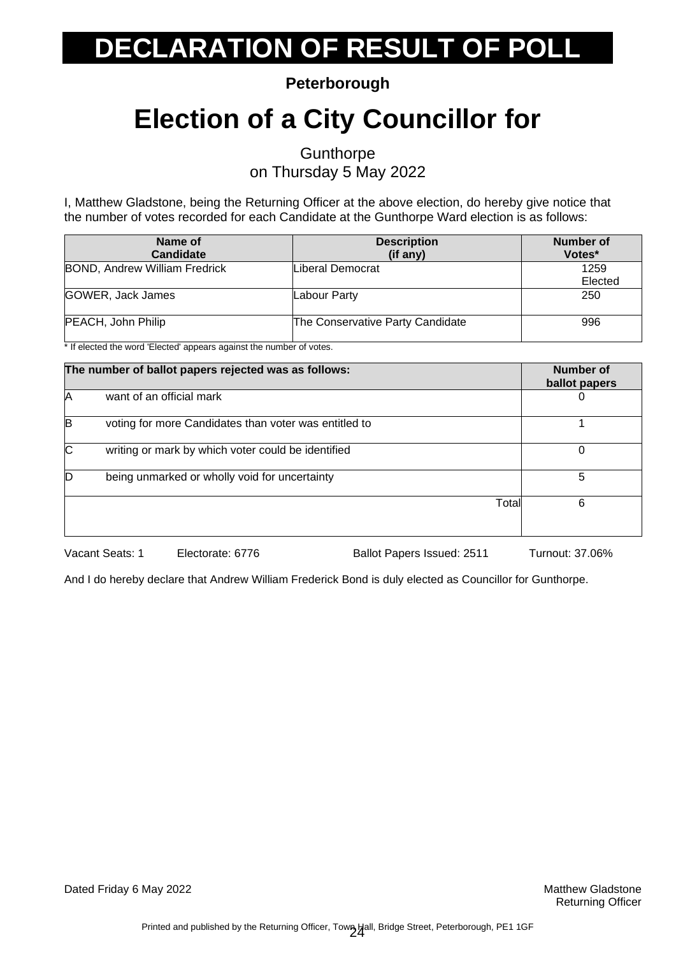**Peterborough**

### **Election of a City Councillor for**

**Gunthorpe** 

on Thursday 5 May 2022

I, Matthew Gladstone, being the Returning Officer at the above election, do hereby give notice that the number of votes recorded for each Candidate at the Gunthorpe Ward election is as follows:

| Name of<br><b>Candidate</b>          | <b>Description</b><br>(if any)   | Number of<br>Votes* |
|--------------------------------------|----------------------------------|---------------------|
| <b>BOND, Andrew William Fredrick</b> | Liberal Democrat                 | 1259<br>Elected     |
| GOWER, Jack James                    | Labour Party                     | 250                 |
| PEACH, John Philip                   | The Conservative Party Candidate | 996                 |

\* If elected the word 'Elected' appears against the number of votes.

| The number of ballot papers rejected was as follows:  | Number of<br>ballot papers |
|-------------------------------------------------------|----------------------------|
| want of an official mark                              |                            |
| voting for more Candidates than voter was entitled to |                            |
| writing or mark by which voter could be identified    | 0                          |
| being unmarked or wholly void for uncertainty         | 5                          |
| Total                                                 | 6                          |
|                                                       |                            |

Vacant Seats: 1 Electorate: 6776 Ballot Papers Issued: 2511 Turnout: 37.06%

And I do hereby declare that Andrew William Frederick Bond is duly elected as Councillor for Gunthorpe.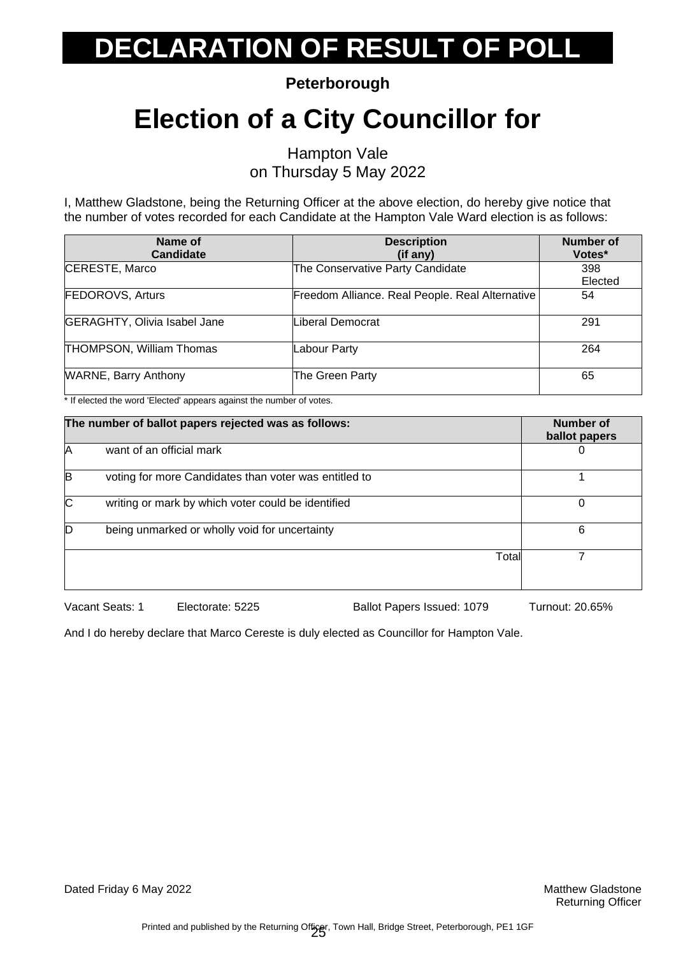**Peterborough**

### **Election of a City Councillor for**

Hampton Vale on Thursday 5 May 2022

I, Matthew Gladstone, being the Returning Officer at the above election, do hereby give notice that the number of votes recorded for each Candidate at the Hampton Vale Ward election is as follows:

| Name of<br><b>Candidate</b>         | <b>Description</b><br>$(if$ any)                | <b>Number of</b><br>Votes* |
|-------------------------------------|-------------------------------------------------|----------------------------|
| CERESTE, Marco                      | The Conservative Party Candidate                | 398                        |
|                                     |                                                 | Elected                    |
| <b>FEDOROVS, Arturs</b>             | Freedom Alliance. Real People. Real Alternative | 54                         |
| <b>GERAGHTY, Olivia Isabel Jane</b> | Liberal Democrat                                | 291                        |
| <b>THOMPSON, William Thomas</b>     | Labour Party                                    | 264                        |
| <b>WARNE, Barry Anthony</b>         | The Green Party                                 | 65                         |

\* If elected the word 'Elected' appears against the number of votes.

|          | The number of ballot papers rejected was as follows:  |       | Number of<br>ballot papers |
|----------|-------------------------------------------------------|-------|----------------------------|
| A        | want of an official mark                              |       |                            |
| IB       | voting for more Candidates than voter was entitled to |       |                            |
| <b>C</b> | writing or mark by which voter could be identified    |       | 0                          |
|          | being unmarked or wholly void for uncertainty         |       | 6                          |
|          |                                                       | Total |                            |
|          |                                                       |       |                            |

Vacant Seats: 1 Electorate: 5225 Ballot Papers Issued: 1079 Turnout: 20.65%

And I do hereby declare that Marco Cereste is duly elected as Councillor for Hampton Vale.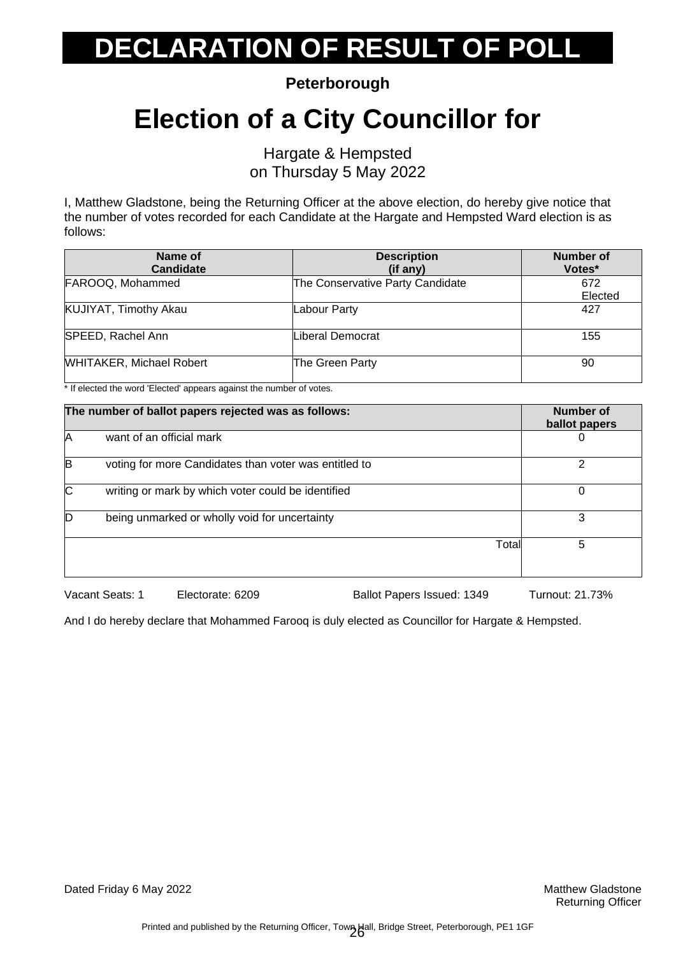**Peterborough**

### **Election of a City Councillor for**

Hargate & Hempsted on Thursday 5 May 2022

I, Matthew Gladstone, being the Returning Officer at the above election, do hereby give notice that the number of votes recorded for each Candidate at the Hargate and Hempsted Ward election is as follows:

| Name of<br><b>Candidate</b>     | <b>Description</b><br>(if any)   | Number of<br>Votes* |
|---------------------------------|----------------------------------|---------------------|
| FAROOQ, Mohammed                | The Conservative Party Candidate | 672<br>Elected      |
| KUJIYAT, Timothy Akau           | Labour Party                     | 427                 |
| SPEED, Rachel Ann               | Liberal Democrat                 | 155                 |
| <b>WHITAKER, Michael Robert</b> | The Green Party                  | 90                  |

\* If elected the word 'Elected' appears against the number of votes.

|                | The number of ballot papers rejected was as follows:  | Number of<br>ballot papers |
|----------------|-------------------------------------------------------|----------------------------|
| ΙA             | want of an official mark                              | 0                          |
| B              | voting for more Candidates than voter was entitled to | 2                          |
| $\overline{C}$ | writing or mark by which voter could be identified    | 0                          |
| D              | being unmarked or wholly void for uncertainty         | 3                          |
|                | Total                                                 | 5                          |

Vacant Seats: 1 Electorate: 6209 Ballot Papers Issued: 1349 Turnout: 21.73%

And I do hereby declare that Mohammed Farooq is duly elected as Councillor for Hargate & Hempsted.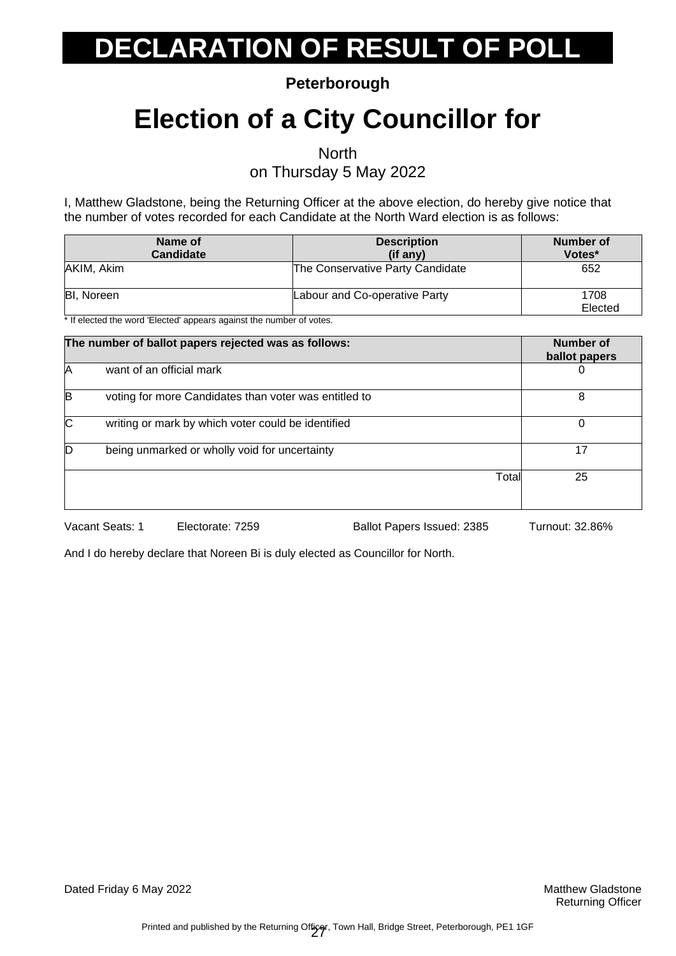**Peterborough**

### **Election of a City Councillor for**

**North** 

on Thursday 5 May 2022

I, Matthew Gladstone, being the Returning Officer at the above election, do hereby give notice that the number of votes recorded for each Candidate at the North Ward election is as follows:

| Name of<br><b>Candidate</b>                                                                                | <b>Description</b><br>$(if$ any) | Number of<br>Votes* |
|------------------------------------------------------------------------------------------------------------|----------------------------------|---------------------|
| AKIM, Akim                                                                                                 | The Conservative Party Candidate | 652                 |
| <b>BI.</b> Noreen<br>→ If all and shift a conduct IEI announced a seasona and the conduction of contacts a | Labour and Co-operative Party    | 1708<br>Elected     |

If elected the word 'Elected' appears against the number of votes.

|    | The number of ballot papers rejected was as follows:  | Number of<br>ballot papers |
|----|-------------------------------------------------------|----------------------------|
| IA | want of an official mark                              | 0                          |
| B  | voting for more Candidates than voter was entitled to | 8                          |
| C  | writing or mark by which voter could be identified    | 0                          |
| D  | being unmarked or wholly void for uncertainty         | 17                         |
|    | Total                                                 | 25                         |

Vacant Seats: 1 Electorate: 7259 Ballot Papers Issued: 2385 Turnout: 32.86%

And I do hereby declare that Noreen Bi is duly elected as Councillor for North.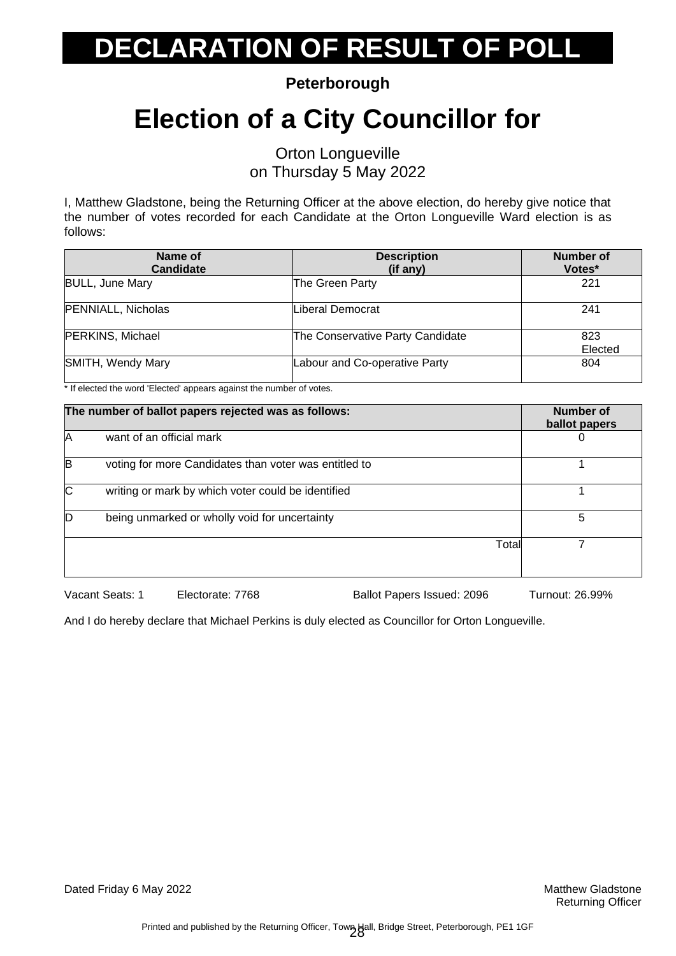**Peterborough**

### **Election of a City Councillor for**

Orton Longueville on Thursday 5 May 2022

I, Matthew Gladstone, being the Returning Officer at the above election, do hereby give notice that the number of votes recorded for each Candidate at the Orton Longueville Ward election is as follows:

| Name of<br><b>Candidate</b> | <b>Description</b><br>(if any)   | <b>Number of</b><br>Votes* |
|-----------------------------|----------------------------------|----------------------------|
| <b>BULL, June Mary</b>      | The Green Party                  | 221                        |
| <b>PENNIALL, Nicholas</b>   | Liberal Democrat                 | 241                        |
| PERKINS, Michael            | The Conservative Party Candidate | 823<br>Elected             |
| SMITH, Wendy Mary           | Labour and Co-operative Party    | 804                        |

\* If elected the word 'Elected' appears against the number of votes.

| 5 |
|---|
|   |
|   |

Vacant Seats: 1 Electorate: 7768 Ballot Papers Issued: 2096 Turnout: 26.99%

And I do hereby declare that Michael Perkins is duly elected as Councillor for Orton Longueville.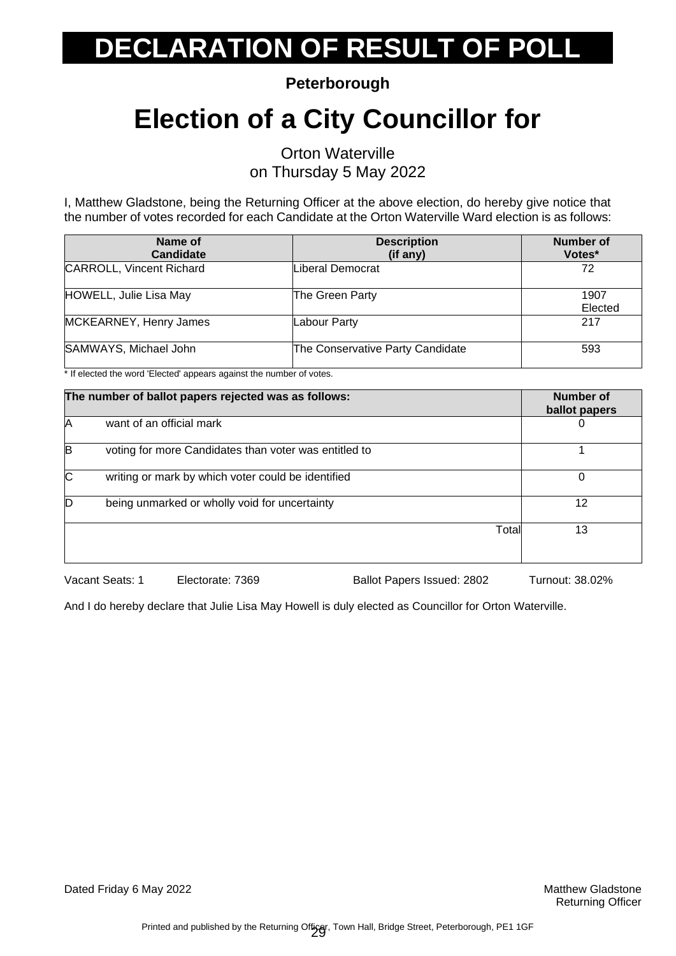**Peterborough**

### **Election of a City Councillor for**

Orton Waterville on Thursday 5 May 2022

I, Matthew Gladstone, being the Returning Officer at the above election, do hereby give notice that the number of votes recorded for each Candidate at the Orton Waterville Ward election is as follows:

| Name of<br><b>Candidate</b>     | <b>Description</b><br>(if any)   | <b>Number of</b><br>Votes* |
|---------------------------------|----------------------------------|----------------------------|
| <b>CARROLL, Vincent Richard</b> | Liberal Democrat                 | 72                         |
| HOWELL, Julie Lisa May          | The Green Party                  | 1907<br>Elected            |
| MCKEARNEY, Henry James          | Labour Party                     | 217                        |
| SAMWAYS, Michael John           | The Conservative Party Candidate | 593                        |

\* If elected the word 'Elected' appears against the number of votes.

| The number of ballot papers rejected was as follows: |                                                       | Number of<br>ballot papers |
|------------------------------------------------------|-------------------------------------------------------|----------------------------|
| IA                                                   | want of an official mark                              |                            |
| B                                                    | voting for more Candidates than voter was entitled to |                            |
| C                                                    | writing or mark by which voter could be identified    |                            |
| ID.                                                  | being unmarked or wholly void for uncertainty         | 12                         |
|                                                      | Total                                                 | 13                         |

Vacant Seats: 1 Electorate: 7369 Ballot Papers Issued: 2802 Turnout: 38.02%

And I do hereby declare that Julie Lisa May Howell is duly elected as Councillor for Orton Waterville.

Dated Friday 6 May 2022 **Matthew Gladstone** Matthew Gladstone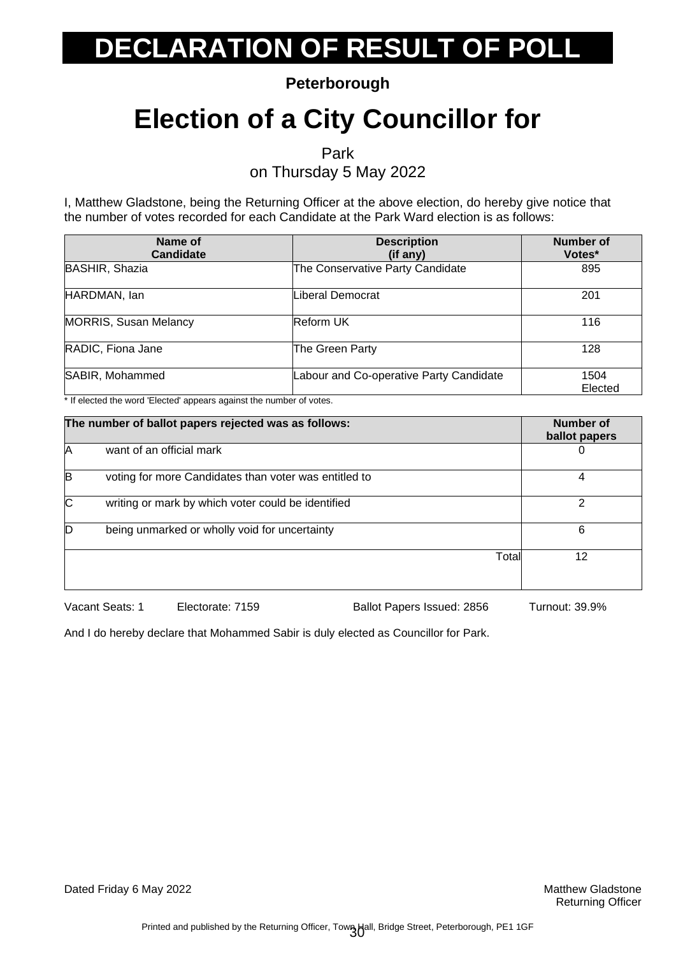**Peterborough**

### **Election of a City Councillor for**

Park

on Thursday 5 May 2022

I, Matthew Gladstone, being the Returning Officer at the above election, do hereby give notice that the number of votes recorded for each Candidate at the Park Ward election is as follows:

| Name of<br><b>Candidate</b>  | <b>Description</b><br>(if any)          | <b>Number of</b><br>Votes* |
|------------------------------|-----------------------------------------|----------------------------|
| BASHIR, Shazia               | The Conservative Party Candidate        | 895                        |
| HARDMAN, lan                 | Liberal Democrat                        | 201                        |
| <b>MORRIS, Susan Melancy</b> | <b>Reform UK</b>                        | 116                        |
| RADIC, Fiona Jane            | The Green Party                         | 128                        |
| SABIR, Mohammed              | Labour and Co-operative Party Candidate | 1504<br>Elected            |

\* If elected the word 'Elected' appears against the number of votes.

| The number of ballot papers rejected was as follows: |                                                       | <b>Number of</b><br>ballot papers |    |
|------------------------------------------------------|-------------------------------------------------------|-----------------------------------|----|
| IA                                                   | want of an official mark                              |                                   | O  |
| B                                                    | voting for more Candidates than voter was entitled to |                                   | 4  |
| C                                                    | writing or mark by which voter could be identified    |                                   | ႒  |
| D                                                    | being unmarked or wholly void for uncertainty         |                                   | 6  |
|                                                      |                                                       | Total                             | 12 |
|                                                      |                                                       |                                   |    |

Vacant Seats: 1 Electorate: 7159 Ballot Papers Issued: 2856 Turnout: 39.9%

And I do hereby declare that Mohammed Sabir is duly elected as Councillor for Park.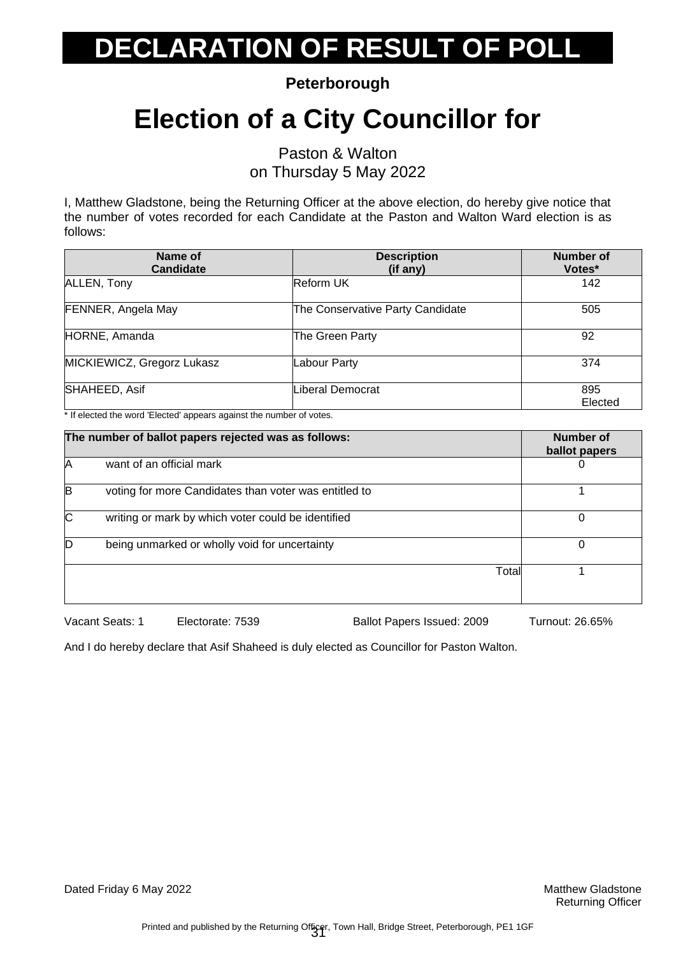**Peterborough**

### **Election of a City Councillor for**

Paston & Walton on Thursday 5 May 2022

I, Matthew Gladstone, being the Returning Officer at the above election, do hereby give notice that the number of votes recorded for each Candidate at the Paston and Walton Ward election is as follows:

| Name of<br><b>Candidate</b>                                                                                                                      | <b>Description</b><br>(if any)   | <b>Number of</b><br>Votes* |
|--------------------------------------------------------------------------------------------------------------------------------------------------|----------------------------------|----------------------------|
| ALLEN, Tony                                                                                                                                      | <b>Reform UK</b>                 | 142                        |
| FENNER, Angela May                                                                                                                               | The Conservative Party Candidate | 505                        |
| HORNE, Amanda                                                                                                                                    | The Green Party                  | 92                         |
| MICKIEWICZ, Gregorz Lukasz                                                                                                                       | Labour Party                     | 374                        |
| SHAHEED, Asif<br>$\mathbf{a}$ and $\mathbf{a}$ and $\mathbf{a}$ and $\mathbf{a}$ and $\mathbf{a}$<br>$\cdots$<br>$\cdot$ $\cdot$ $\cdot$ $\cdot$ | Liberal Democrat                 | 895<br>Elected             |

If elected the word 'Elected' appears against the number of votes.

| The number of ballot papers rejected was as follows: |                                                       | Number of<br>ballot papers |   |
|------------------------------------------------------|-------------------------------------------------------|----------------------------|---|
| A                                                    | want of an official mark                              |                            | 0 |
| B                                                    | voting for more Candidates than voter was entitled to |                            |   |
| ІС                                                   | writing or mark by which voter could be identified    |                            | O |
| D                                                    | being unmarked or wholly void for uncertainty         |                            | 0 |
|                                                      |                                                       | Total                      |   |

Vacant Seats: 1 Electorate: 7539 Ballot Papers Issued: 2009 Turnout: 26.65%

And I do hereby declare that Asif Shaheed is duly elected as Councillor for Paston Walton.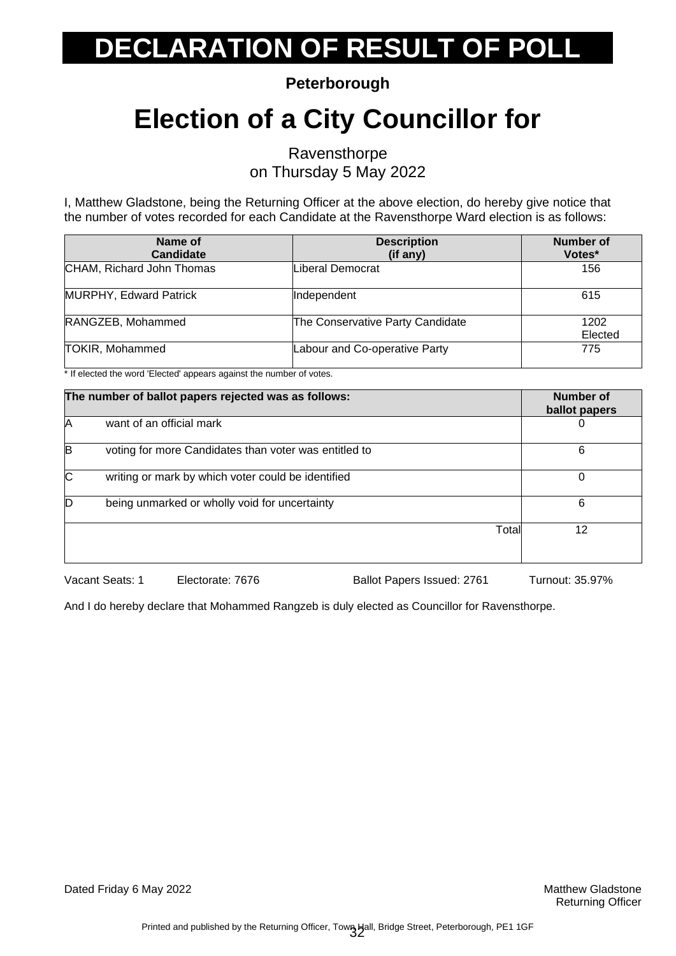**Peterborough**

### **Election of a City Councillor for**

Ravensthorpe on Thursday 5 May 2022

I, Matthew Gladstone, being the Returning Officer at the above election, do hereby give notice that the number of votes recorded for each Candidate at the Ravensthorpe Ward election is as follows:

| Name of<br><b>Candidate</b> | <b>Description</b><br>(if any)   | <b>Number of</b><br>Votes* |
|-----------------------------|----------------------------------|----------------------------|
| CHAM, Richard John Thomas   | Liberal Democrat                 | 156                        |
| MURPHY, Edward Patrick      | Independent                      | 615                        |
| RANGZEB, Mohammed           | The Conservative Party Candidate | 1202<br>Elected            |
| <b>TOKIR, Mohammed</b>      | Labour and Co-operative Party    | 775                        |

\* If elected the word 'Elected' appears against the number of votes.

| The number of ballot papers rejected was as follows: |                                                       | Number of<br>ballot papers |    |
|------------------------------------------------------|-------------------------------------------------------|----------------------------|----|
| IA                                                   | want of an official mark                              |                            |    |
| B                                                    | voting for more Candidates than voter was entitled to |                            | 6  |
| C                                                    | writing or mark by which voter could be identified    |                            |    |
| ID.                                                  | being unmarked or wholly void for uncertainty         |                            | 6  |
|                                                      |                                                       | Total                      | 12 |
|                                                      |                                                       |                            |    |

Vacant Seats: 1 Electorate: 7676 Ballot Papers Issued: 2761 Turnout: 35.97%

And I do hereby declare that Mohammed Rangzeb is duly elected as Councillor for Ravensthorpe.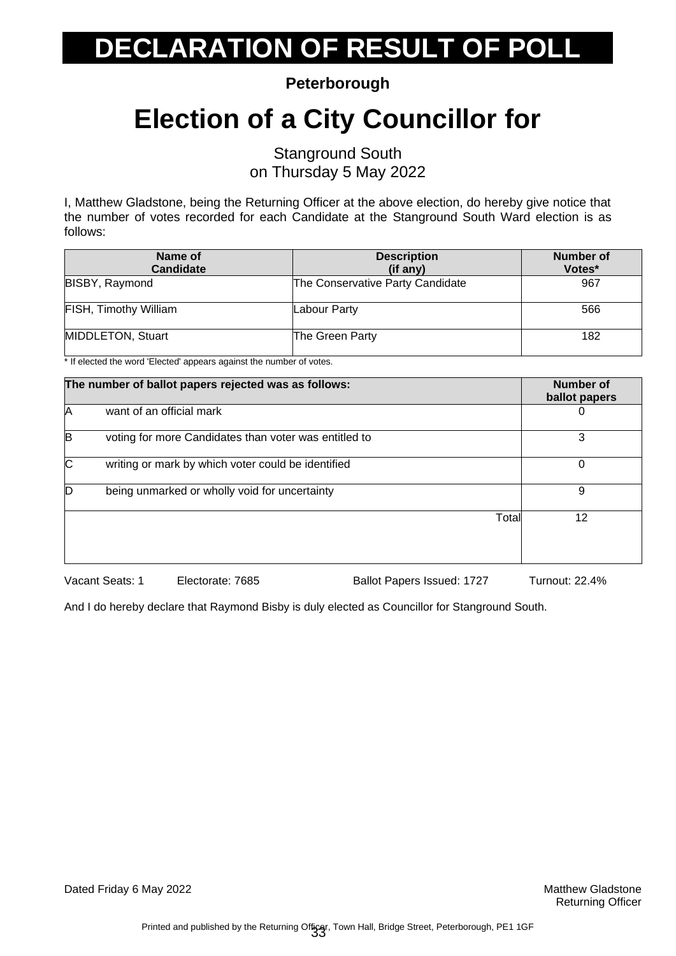**Peterborough**

### **Election of a City Councillor for**

Stanground South on Thursday 5 May 2022

I, Matthew Gladstone, being the Returning Officer at the above election, do hereby give notice that the number of votes recorded for each Candidate at the Stanground South Ward election is as follows:

| Name of<br><b>Candidate</b>  | <b>Description</b><br>$(if$ any) | <b>Number of</b><br>Votes* |
|------------------------------|----------------------------------|----------------------------|
| <b>BISBY, Raymond</b>        | The Conservative Party Candidate | 967                        |
| <b>FISH, Timothy William</b> | Labour Party                     | 566                        |
| MIDDLETON, Stuart            | The Green Party                  | 182                        |

If elected the word 'Elected' appears against the number of votes.

| The number of ballot papers rejected was as follows: |                                                       | <b>Number of</b><br>ballot papers |
|------------------------------------------------------|-------------------------------------------------------|-----------------------------------|
| IA                                                   | want of an official mark                              | O                                 |
| B                                                    | voting for more Candidates than voter was entitled to | 3                                 |
| $\overline{C}$                                       | writing or mark by which voter could be identified    | 0                                 |
| D                                                    | being unmarked or wholly void for uncertainty         | 9                                 |
|                                                      | Total                                                 | 12                                |

Vacant Seats: 1 Electorate: 7685 Ballot Papers Issued: 1727 Turnout: 22.4%

And I do hereby declare that Raymond Bisby is duly elected as Councillor for Stanground South.